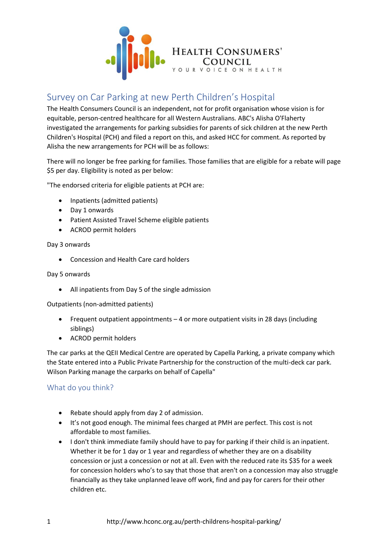

## Survey on Car Parking at new Perth Children's Hospital

The Health Consumers Council is an independent, not for profit organisation whose vision is for equitable, person-centred healthcare for all Western Australians. ABC's Alisha O'Flaherty investigated the arrangements for parking subsidies for parents of sick children at the new Perth Children's Hospital (PCH) and filed a report on this, and asked HCC for comment. As reported by Alisha the new arrangements for PCH will be as follows:

There will no longer be free parking for families. Those families that are eligible for a rebate will page \$5 per day. Eligibility is noted as per below:

"The endorsed criteria for eligible patients at PCH are:

- Inpatients (admitted patients)
- Day 1 onwards
- Patient Assisted Travel Scheme eligible patients
- ACROD permit holders

## Day 3 onwards

• Concession and Health Care card holders

## Day 5 onwards

• All inpatients from Day 5 of the single admission

Outpatients (non-admitted patients)

- Frequent outpatient appointments 4 or more outpatient visits in 28 days (including siblings)
- ACROD permit holders

The car parks at the QEII Medical Centre are operated by Capella Parking, a private company which the State entered into a Public Private Partnership for the construction of the multi-deck car park. Wilson Parking manage the carparks on behalf of Capella"

## What do you think?

- Rebate should apply from day 2 of admission.
- It's not good enough. The minimal fees charged at PMH are perfect. This cost is not affordable to most families.
- I don't think immediate family should have to pay for parking if their child is an inpatient. Whether it be for 1 day or 1 year and regardless of whether they are on a disability concession or just a concession or not at all. Even with the reduced rate its \$35 for a week for concession holders who's to say that those that aren't on a concession may also struggle financially as they take unplanned leave off work, find and pay for carers for their other children etc.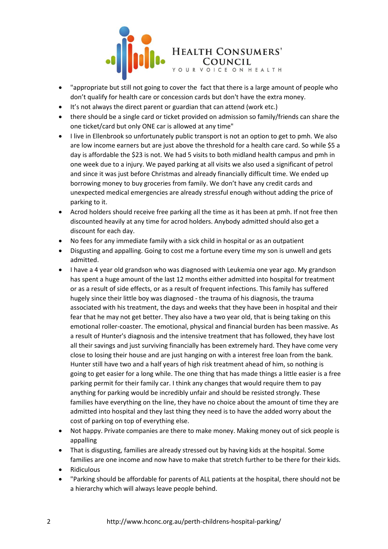

- "appropriate but still not going to cover the fact that there is a large amount of people who don't qualify for health care or concession cards but don't have the extra money.
- It's not always the direct parent or guardian that can attend (work etc.)
- there should be a single card or ticket provided on admission so family/friends can share the one ticket/card but only ONE car is allowed at any time"
- I live in Ellenbrook so unfortunately public transport is not an option to get to pmh. We also are low income earners but are just above the threshold for a health care card. So while \$5 a day is affordable the \$23 is not. We had 5 visits to both midland health campus and pmh in one week due to a injury. We payed parking at all visits we also used a significant of petrol and since it was just before Christmas and already financially difficult time. We ended up borrowing money to buy groceries from family. We don't have any credit cards and unexpected medical emergencies are already stressful enough without adding the price of parking to it.
- Acrod holders should receive free parking all the time as it has been at pmh. If not free then discounted heavily at any time for acrod holders. Anybody admitted should also get a discount for each day.
- No fees for any immediate family with a sick child in hospital or as an outpatient
- Disgusting and appalling. Going to cost me a fortune every time my son is unwell and gets admitted.
- I have a 4 year old grandson who was diagnosed with Leukemia one year ago. My grandson has spent a huge amount of the last 12 months either admitted into hospital for treatment or as a result of side effects, or as a result of frequent infections. This family has suffered hugely since their little boy was diagnosed - the trauma of his diagnosis, the trauma associated with his treatment, the days and weeks that they have been in hospital and their fear that he may not get better. They also have a two year old, that is being taking on this emotional roller-coaster. The emotional, physical and financial burden has been massive. As a result of Hunter's diagnosis and the intensive treatment that has followed, they have lost all their savings and just surviving financially has been extremely hard. They have come very close to losing their house and are just hanging on with a interest free loan from the bank. Hunter still have two and a half years of high risk treatment ahead of him, so nothing is going to get easier for a long while. The one thing that has made things a little easier is a free parking permit for their family car. I think any changes that would require them to pay anything for parking would be incredibly unfair and should be resisted strongly. These families have everything on the line, they have no choice about the amount of time they are admitted into hospital and they last thing they need is to have the added worry about the cost of parking on top of everything else.
- Not happy. Private companies are there to make money. Making money out of sick people is appalling
- That is disgusting, families are already stressed out by having kids at the hospital. Some families are one income and now have to make that stretch further to be there for their kids.
- Ridiculous
- "Parking should be affordable for parents of ALL patients at the hospital, there should not be a hierarchy which will always leave people behind.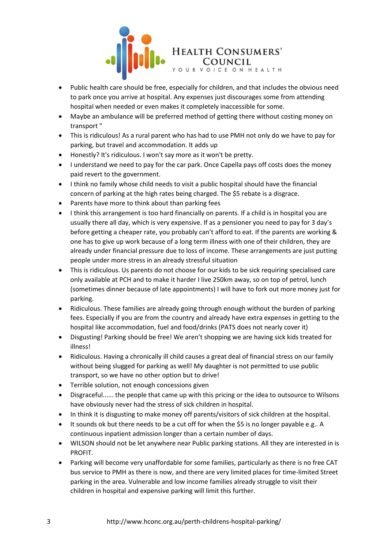

- Public health care should be free, especially for children, and that includes the obvious need to park once you arrive at hospital. Any expenses just discourages some from attending hospital when needed or even makes it completely inaccessible for some.
- Maybe an ambulance will be preferred method of getting there without costing money on transport "
- This is ridiculous! As a rural parent who has had to use PMH not only do we have to pay for parking, but travel and accommodation. It adds up
- Honestly? It's ridiculous. I won't say more as it won't be pretty.
- I understand we need to pay for the car park. Once Capella pays off costs does the money paid revert to the government.
- I think no family whose child needs to visit a public hospital should have the financial concern of parking at the high rates being charged. The \$5 rebate is a disgrace.
- Parents have more to think about than parking fees
- I think this arrangement is too hard financially on parents. If a child is in hospital you are usually there all day, which is very expensive. If as a pensioner you need to pay for 3 day's before getting a cheaper rate, you probably can't afford to eat. If the parents are working & one has to give up work because of a long term illness with one of their children, they are already under financial pressure due to loss of income. These arrangements are just putting people under more stress in an already stressful situation
- This is ridiculous. Us parents do not choose for our kids to be sick requiring specialised care only available at PCH and to make it harder I live 250km away, so on top of petrol, lunch (sometimes dinner because of late appointments) I will have to fork out more money just for parking.
- Ridiculous. These families are already going through enough without the burden of parking fees. Especially if you are from the country and already have extra expenses in getting to the hospital like accommodation, fuel and food/drinks (PATS does not nearly cover it)
- Disgusting! Parking should be free! We aren't shopping we are having sick kids treated for illness!
- Ridiculous. Having a chronically ill child causes a great deal of financial stress on our family without being slugged for parking as well! My daughter is not permitted to use public transport, so we have no other option but to drive!
- Terrible solution, not enough concessions given
- Disgraceful...... the people that came up with this pricing or the idea to outsource to Wilsons have obviously never had the stress of sick children in hospital.
- In think it is disgusting to make money off parents/visitors of sick children at the hospital.
- It sounds ok but there needs to be a cut off for when the \$5 is no longer payable e.g.. A continuous inpatient admission longer than a certain number of days.
- WILSON should not be let anywhere near Public parking stations. All they are interested in is PROFIT.
- Parking will become very unaffordable for some families, particularly as there is no free CAT bus service to PMH as there is now, and there are very limited places for time-limited Street parking in the area. Vulnerable and low income families already struggle to visit their children in hospital and expensive parking will limit this further.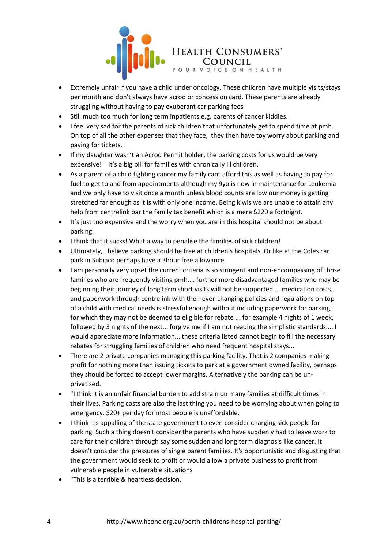

- Extremely unfair if you have a child under oncology. These children have multiple visits/stays per month and don't always have acrod or concession card. These parents are already struggling without having to pay exuberant car parking fees
- Still much too much for long term inpatients e.g. parents of cancer kiddies.
- I feel very sad for the parents of sick children that unfortunately get to spend time at pmh. On top of all the other expenses that they face, they then have toy worry about parking and paying for tickets.
- If my daughter wasn't an Acrod Permit holder, the parking costs for us would be very expensive! It's a big bill for families with chronically ill children.
- As a parent of a child fighting cancer my family cant afford this as well as having to pay for fuel to get to and from appointments although my 9yo is now in maintenance for Leukemia and we only have to visit once a month unless blood counts are low our money is getting stretched far enough as it is with only one income. Being kiwis we are unable to attain any help from centrelink bar the family tax benefit which is a mere \$220 a fortnight.
- It's just too expensive and the worry when you are in this hospital should not be about parking.
- I think that it sucks! What a way to penalise the families of sick children!
- Ultimately, I believe parking should be free at children's hospitals. Or like at the Coles car park in Subiaco perhaps have a 3hour free allowance.
- I am personally very upset the current criteria is so stringent and non-encompassing of those families who are frequently visiting pmh.... further more disadvantaged families who may be beginning their journey of long term short visits will not be supported.... medication costs, and paperwork through centrelink with their ever-changing policies and regulations on top of a child with medical needs is stressful enough without including paperwork for parking, for which they may not be deemed to eligible for rebate ... for example 4 nights of 1 week, followed by 3 nights of the next... forgive me if I am not reading the simplistic standards.... I would appreciate more information... these criteria listed cannot begin to fill the necessary rebates for struggling families of children who need frequent hospital stays....
- There are 2 private companies managing this parking facility. That is 2 companies making profit for nothing more than issuing tickets to park at a government owned facility, perhaps they should be forced to accept lower margins. Alternatively the parking can be unprivatised.
- "I think it is an unfair financial burden to add strain on many families at difficult times in their lives. Parking costs are also the last thing you need to be worrying about when going to emergency. \$20+ per day for most people is unaffordable.
- I think it's appalling of the state government to even consider charging sick people for parking. Such a thing doesn't consider the parents who have suddenly had to leave work to care for their children through say some sudden and long term diagnosis like cancer. It doesn't consider the pressures of single parent families. It's opportunistic and disgusting that the government would seek to profit or would allow a private business to profit from vulnerable people in vulnerable situations
- "This is a terrible & heartless decision.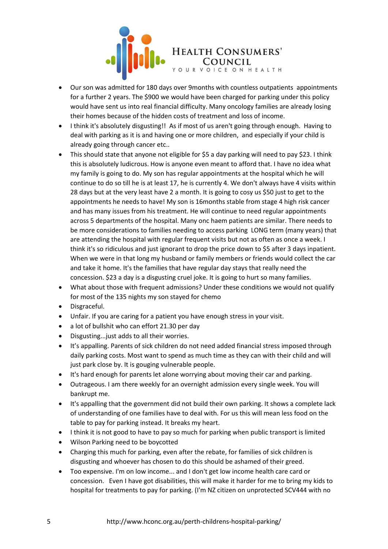

- Our son was admitted for 180 days over 9months with countless outpatients appointments for a further 2 years. The \$900 we would have been charged for parking under this policy would have sent us into real financial difficulty. Many oncology families are already losing their homes because of the hidden costs of treatment and loss of income.
- I think it's absolutely disgusting!! As if most of us aren't going through enough. Having to deal with parking as it is and having one or more children, and especially if your child is already going through cancer etc..
- This should state that anyone not eligible for \$5 a day parking will need to pay \$23. I think this is absolutely ludicrous. How is anyone even meant to afford that. I have no idea what my family is going to do. My son has regular appointments at the hospital which he will continue to do so till he is at least 17, he is currently 4. We don't always have 4 visits within 28 days but at the very least have 2 a month. It is going to cosy us \$50 just to get to the appointments he needs to have! My son is 16months stable from stage 4 high risk cancer and has many issues from his treatment. He will continue to need regular appointments across 5 departments of the hospital. Many onc haem patients are similar. There needs to be more considerations to families needing to access parking LONG term (many years) that are attending the hospital with regular frequent visits but not as often as once a week. I think it's so ridiculous and just ignorant to drop the price down to \$5 after 3 days inpatient. When we were in that long my husband or family members or friends would collect the car and take it home. It's the families that have regular day stays that really need the concession. \$23 a day is a disgusting cruel joke. It is going to hurt so many families.
- What about those with frequent admissions? Under these conditions we would not qualify for most of the 135 nights my son stayed for chemo
- Disgraceful.
- Unfair. If you are caring for a patient you have enough stress in your visit.
- a lot of bullshit who can effort 21.30 per day
- Disgusting...just adds to all their worries.
- It's appalling. Parents of sick children do not need added financial stress imposed through daily parking costs. Most want to spend as much time as they can with their child and will just park close by. It is gouging vulnerable people.
- It's hard enough for parents let alone worrying about moving their car and parking.
- Outrageous. I am there weekly for an overnight admission every single week. You will bankrupt me.
- It's appalling that the government did not build their own parking. It shows a complete lack of understanding of one families have to deal with. For us this will mean less food on the table to pay for parking instead. It breaks my heart.
- I think it is not good to have to pay so much for parking when public transport is limited
- Wilson Parking need to be boycotted
- Charging this much for parking, even after the rebate, for families of sick children is disgusting and whoever has chosen to do this should be ashamed of their greed.
- Too expensive. I'm on low income... and I don't get low income health care card or concession. Even I have got disabilities, this will make it harder for me to bring my kids to hospital for treatments to pay for parking. (I'm NZ citizen on unprotected SCV444 with no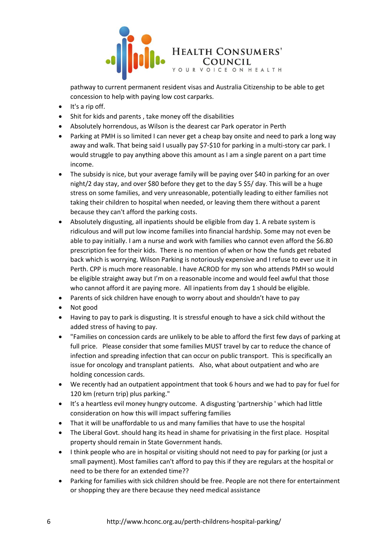

pathway to current permanent resident visas and Australia Citizenship to be able to get concession to help with paying low cost carparks.

- It's a rip off.
- Shit for kids and parents , take money off the disabilities
- Absolutely horrendous, as Wilson is the dearest car Park operator in Perth
- Parking at PMH is so limited I can never get a cheap bay onsite and need to park a long way away and walk. That being said I usually pay \$7-\$10 for parking in a multi-story car park. I would struggle to pay anything above this amount as I am a single parent on a part time income.
- The subsidy is nice, but your average family will be paying over \$40 in parking for an over night/2 day stay, and over \$80 before they get to the day 5 \$5/ day. This will be a huge stress on some families, and very unreasonable, potentially leading to either families not taking their children to hospital when needed, or leaving them there without a parent because they can't afford the parking costs.
- Absolutely disgusting, all inpatients should be eligible from day 1. A rebate system is ridiculous and will put low income families into financial hardship. Some may not even be able to pay initially. I am a nurse and work with families who cannot even afford the \$6.80 prescription fee for their kids. There is no mention of when or how the funds get rebated back which is worrying. Wilson Parking is notoriously expensive and I refuse to ever use it in Perth. CPP is much more reasonable. I have ACROD for my son who attends PMH so would be eligible straight away but I'm on a reasonable income and would feel awful that those who cannot afford it are paying more. All inpatients from day 1 should be eligible.
- Parents of sick children have enough to worry about and shouldn't have to pay
- Not good
- Having to pay to park is disgusting. It is stressful enough to have a sick child without the added stress of having to pay.
- "Families on concession cards are unlikely to be able to afford the first few days of parking at full price. Please consider that some families MUST travel by car to reduce the chance of infection and spreading infection that can occur on public transport. This is specifically an issue for oncology and transplant patients. Also, what about outpatient and who are holding concession cards.
- We recently had an outpatient appointment that took 6 hours and we had to pay for fuel for 120 km (return trip) plus parking."
- It's a heartless evil money hungry outcome. A disgusting 'partnership ' which had little consideration on how this will impact suffering families
- That it will be unaffordable to us and many families that have to use the hospital
- The Liberal Govt. should hang its head in shame for privatising in the first place. Hospital property should remain in State Government hands.
- I think people who are in hospital or visiting should not need to pay for parking (or just a small payment). Most families can't afford to pay this if they are regulars at the hospital or need to be there for an extended time??
- Parking for families with sick children should be free. People are not there for entertainment or shopping they are there because they need medical assistance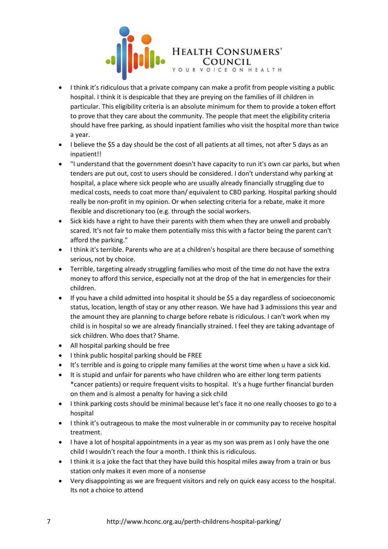

- I think it's ridiculous that a private company can make a profit from people visiting a public hospital. I think it is despicable that they are preying on the families of ill children in particular. This eligibility criteria is an absolute minimum for them to provide a token effort to prove that they care about the community. The people that meet the eligibility criteria should have free parking, as should inpatient families who visit the hospital more than twice a year.
- I believe the \$5 a day should be the cost of all patients at all times, not after 5 days as an inpatient!!
- "I understand that the government doesn't have capacity to run it's own car parks, but when tenders are put out, cost to users should be considered. I don't understand why parking at hospital, a place where sick people who are usually already financially struggling due to medical costs, needs to coat more than/ equivalent to CBD parking. Hospital parking should really be non-profit in my opinion. Or when selecting criteria for a rebate, make it more flexible and discretionary too (e.g. through the social workers.
- Sick kids have a right to have their parents with them when they are unwell and probably scared. It's not fair to make them potentially miss this with a factor being the parent can't afford the parking."
- I think it's terrible. Parents who are at a children's hospital are there because of something serious, not by choice.
- Terrible, targeting already struggling families who most of the time do not have the extra money to afford this service, especially not at the drop of the hat in emergencies for their children.
- If you have a child admitted into hospital it should be \$5 a day regardless of socioeconomic status, location, length of stay or any other reason. We have had 3 admissions this year and the amount they are planning to charge before rebate is ridiculous. I can't work when my child is in hospital so we are already financially strained. I feel they are taking advantage of sick children. Who does that? Shame.
- All hospital parking should be free
- I think public hospital parking should be FREE
- It's terrible and is going to cripple many families at the worst time when u have a sick kid.
- It is stupid and unfair for parents who have children who are either long term patients \*cancer patients) or require frequent visits to hospital. It's a huge further financial burden on them and is almost a penalty for having a sick child
- I think parking costs should be minimal because let's face it no one really chooses to go to a hospital
- I think it's outrageous to make the most vulnerable in or community pay to receive hospital treatment.
- I have a lot of hospital appointments in a year as my son was prem as I only have the one child I wouldn't reach the four a month. I think this is ridiculous.
- I think it is a joke the fact that they have build this hospital miles away from a train or bus station only makes it even more of a nonsense
- Very disappointing as we are frequent visitors and rely on quick easy access to the hospital. Its not a choice to attend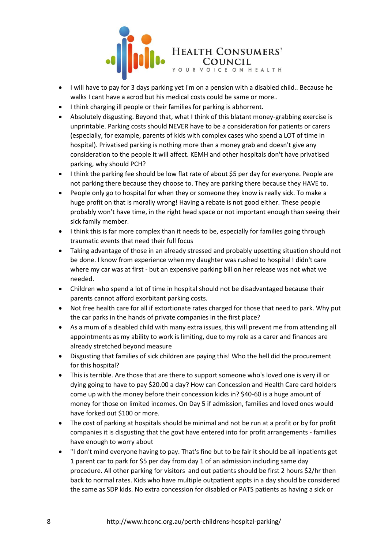

- I will have to pay for 3 days parking yet I'm on a pension with a disabled child.. Because he walks I cant have a acrod but his medical costs could be same or more..
- I think charging ill people or their families for parking is abhorrent.
- Absolutely disgusting. Beyond that, what I think of this blatant money-grabbing exercise is unprintable. Parking costs should NEVER have to be a consideration for patients or carers (especially, for example, parents of kids with complex cases who spend a LOT of time in hospital). Privatised parking is nothing more than a money grab and doesn't give any consideration to the people it will affect. KEMH and other hospitals don't have privatised parking, why should PCH?
- I think the parking fee should be low flat rate of about \$5 per day for everyone. People are not parking there because they choose to. They are parking there because they HAVE to.
- People only go to hospital for when they or someone they know is really sick. To make a huge profit on that is morally wrong! Having a rebate is not good either. These people probably won't have time, in the right head space or not important enough than seeing their sick family member.
- I think this is far more complex than it needs to be, especially for families going through traumatic events that need their full focus
- Taking advantage of those in an already stressed and probably upsetting situation should not be done. I know from experience when my daughter was rushed to hospital I didn't care where my car was at first - but an expensive parking bill on her release was not what we needed.
- Children who spend a lot of time in hospital should not be disadvantaged because their parents cannot afford exorbitant parking costs.
- Not free health care for all if extortionate rates charged for those that need to park. Why put the car parks in the hands of private companies in the first place?
- As a mum of a disabled child with many extra issues, this will prevent me from attending all appointments as my ability to work is limiting, due to my role as a carer and finances are already stretched beyond measure
- Disgusting that families of sick children are paying this! Who the hell did the procurement for this hospital?
- This is terrible. Are those that are there to support someone who's loved one is very ill or dying going to have to pay \$20.00 a day? How can Concession and Health Care card holders come up with the money before their concession kicks in? \$40-60 is a huge amount of money for those on limited incomes. On Day 5 if admission, families and loved ones would have forked out \$100 or more.
- The cost of parking at hospitals should be minimal and not be run at a profit or by for profit companies it is disgusting that the govt have entered into for profit arrangements - families have enough to worry about
- "I don't mind everyone having to pay. That's fine but to be fair it should be all inpatients get 1 parent car to park for \$5 per day from day 1 of an admission including same day procedure. All other parking for visitors and out patients should be first 2 hours \$2/hr then back to normal rates. Kids who have multiple outpatient appts in a day should be considered the same as SDP kids. No extra concession for disabled or PATS patients as having a sick or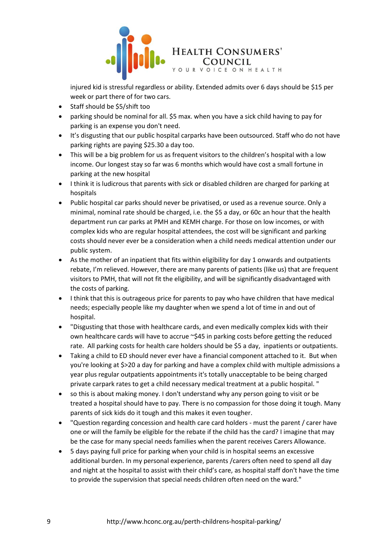

injured kid is stressful regardless or ability. Extended admits over 6 days should be \$15 per week or part there of for two cars.

- Staff should be \$5/shift too
- parking should be nominal for all. \$5 max. when you have a sick child having to pay for parking is an expense you don't need.
- It's disgusting that our public hospital carparks have been outsourced. Staff who do not have parking rights are paying \$25.30 a day too.
- This will be a big problem for us as frequent visitors to the children's hospital with a low income. Our longest stay so far was 6 months which would have cost a small fortune in parking at the new hospital
- I think it is ludicrous that parents with sick or disabled children are charged for parking at hospitals
- Public hospital car parks should never be privatised, or used as a revenue source. Only a minimal, nominal rate should be charged, i.e. the \$5 a day, or 60c an hour that the health department run car parks at PMH and KEMH charge. For those on low incomes, or with complex kids who are regular hospital attendees, the cost will be significant and parking costs should never ever be a consideration when a child needs medical attention under our public system.
- As the mother of an inpatient that fits within eligibility for day 1 onwards and outpatients rebate, I'm relieved. However, there are many parents of patients (like us) that are frequent visitors to PMH, that will not fit the eligibility, and will be significantly disadvantaged with the costs of parking.
- I think that this is outrageous price for parents to pay who have children that have medical needs; especially people like my daughter when we spend a lot of time in and out of hospital.
- "Disgusting that those with healthcare cards, and even medically complex kids with their own healthcare cards will have to accrue ~\$45 in parking costs before getting the reduced rate. All parking costs for health care holders should be \$5 a day, inpatients or outpatients.
- Taking a child to ED should never ever have a financial component attached to it. But when you're looking at \$>20 a day for parking and have a complex child with multiple admissions a year plus regular outpatients appointments it's totally unacceptable to be being charged private carpark rates to get a child necessary medical treatment at a public hospital. "
- so this is about making money. I don't understand why any person going to visit or be treated a hospital should have to pay. There is no compassion for those doing it tough. Many parents of sick kids do it tough and this makes it even tougher.
- "Question regarding concession and health care card holders must the parent / carer have one or will the family be eligible for the rebate if the child has the card? I imagine that may be the case for many special needs families when the parent receives Carers Allowance.
- 5 days paying full price for parking when your child is in hospital seems an excessive additional burden. In my personal experience, parents /carers often need to spend all day and night at the hospital to assist with their child's care, as hospital staff don't have the time to provide the supervision that special needs children often need on the ward."